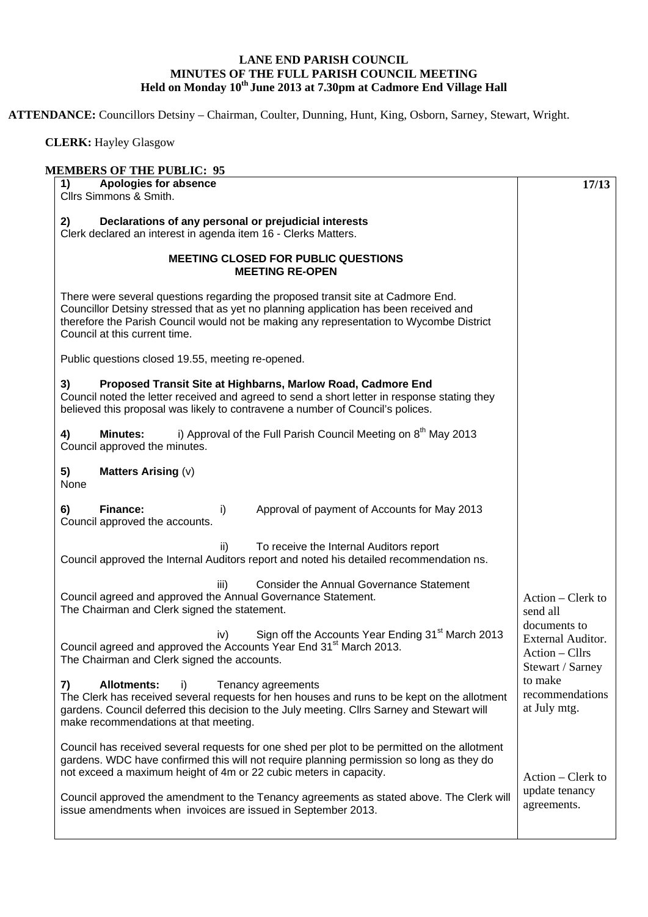## **LANE END PARISH COUNCIL MINUTES OF THE FULL PARISH COUNCIL MEETING Held on Monday 10th June 2013 at 7.30pm at Cadmore End Village Hall**

**ATTENDANCE:** Councillors Detsiny – Chairman, Coulter, Dunning, Hunt, King, Osborn, Sarney, Stewart, Wright.

 **CLERK:** Hayley Glasgow

| <b>Apologies for absence</b><br>1)<br>Cllrs Simmons & Smith.                                                                                                                                                                                                                                          | 17/13                                                                   |
|-------------------------------------------------------------------------------------------------------------------------------------------------------------------------------------------------------------------------------------------------------------------------------------------------------|-------------------------------------------------------------------------|
| Declarations of any personal or prejudicial interests<br>2)<br>Clerk declared an interest in agenda item 16 - Clerks Matters.                                                                                                                                                                         |                                                                         |
| <b>MEETING CLOSED FOR PUBLIC QUESTIONS</b><br><b>MEETING RE-OPEN</b>                                                                                                                                                                                                                                  |                                                                         |
| There were several questions regarding the proposed transit site at Cadmore End.<br>Councillor Detsiny stressed that as yet no planning application has been received and<br>therefore the Parish Council would not be making any representation to Wycombe District<br>Council at this current time. |                                                                         |
| Public questions closed 19.55, meeting re-opened.                                                                                                                                                                                                                                                     |                                                                         |
| Proposed Transit Site at Highbarns, Marlow Road, Cadmore End<br>3)<br>Council noted the letter received and agreed to send a short letter in response stating they<br>believed this proposal was likely to contravene a number of Council's polices.                                                  |                                                                         |
| i) Approval of the Full Parish Council Meeting on 8 <sup>th</sup> May 2013<br><b>Minutes:</b><br>4)<br>Council approved the minutes.                                                                                                                                                                  |                                                                         |
| 5)<br><b>Matters Arising (v)</b><br>None                                                                                                                                                                                                                                                              |                                                                         |
| Finance:<br>Approval of payment of Accounts for May 2013<br>6)<br>i)<br>Council approved the accounts.                                                                                                                                                                                                |                                                                         |
| To receive the Internal Auditors report<br>ii)<br>Council approved the Internal Auditors report and noted his detailed recommendation ns.                                                                                                                                                             |                                                                         |
| iii)<br><b>Consider the Annual Governance Statement</b><br>Council agreed and approved the Annual Governance Statement.<br>The Chairman and Clerk signed the statement.                                                                                                                               | Action – Clerk to<br>send all                                           |
| Sign off the Accounts Year Ending 31 <sup>st</sup> March 2013<br>iv)<br>Council agreed and approved the Accounts Year End 31 <sup>st</sup> March 2013.<br>The Chairman and Clerk signed the accounts.                                                                                                 | documents to<br>External Auditor.<br>Action - Cllrs<br>Stewart / Sarney |
| <b>Allotments:</b><br>Tenancy agreements<br>7)<br>i)<br>The Clerk has received several requests for hen houses and runs to be kept on the allotment<br>gardens. Council deferred this decision to the July meeting. Cllrs Sarney and Stewart will<br>make recommendations at that meeting.            | to make<br>recommendations<br>at July mtg.                              |
| Council has received several requests for one shed per plot to be permitted on the allotment<br>gardens. WDC have confirmed this will not require planning permission so long as they do<br>not exceed a maximum height of 4m or 22 cubic meters in capacity.                                         | Action – Clerk to                                                       |
| Council approved the amendment to the Tenancy agreements as stated above. The Clerk will<br>issue amendments when invoices are issued in September 2013.                                                                                                                                              | update tenancy<br>agreements.                                           |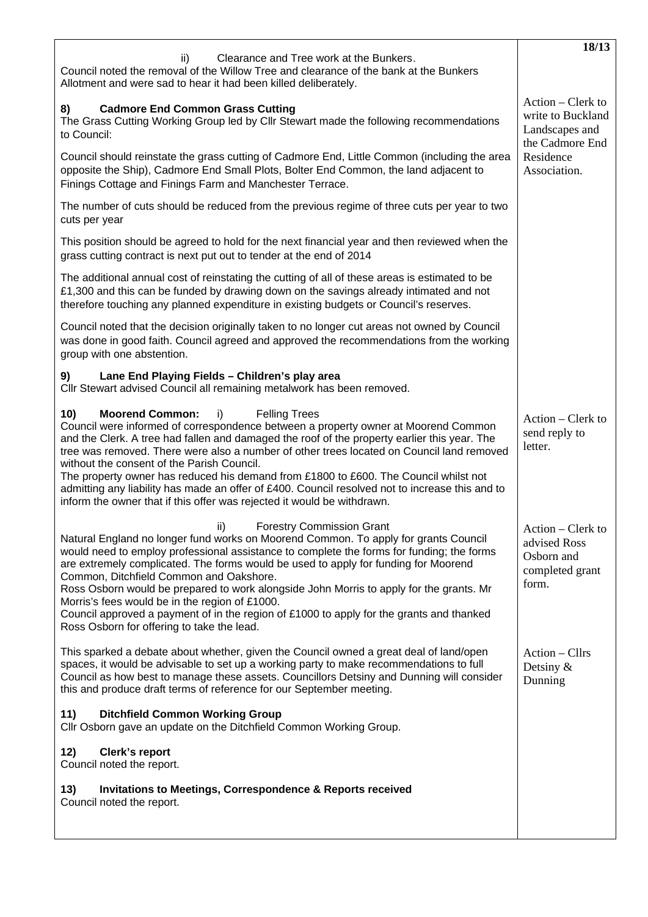|                                                                                                                                                                                                                                                                                                                                                                                                                                                                                                                                                                                                                                                                    | 18/13                                                                       |
|--------------------------------------------------------------------------------------------------------------------------------------------------------------------------------------------------------------------------------------------------------------------------------------------------------------------------------------------------------------------------------------------------------------------------------------------------------------------------------------------------------------------------------------------------------------------------------------------------------------------------------------------------------------------|-----------------------------------------------------------------------------|
| ii)<br>Clearance and Tree work at the Bunkers.<br>Council noted the removal of the Willow Tree and clearance of the bank at the Bunkers<br>Allotment and were sad to hear it had been killed deliberately.                                                                                                                                                                                                                                                                                                                                                                                                                                                         |                                                                             |
| <b>Cadmore End Common Grass Cutting</b><br>8)<br>The Grass Cutting Working Group led by Cllr Stewart made the following recommendations<br>to Council:                                                                                                                                                                                                                                                                                                                                                                                                                                                                                                             | Action – Clerk to<br>write to Buckland<br>Landscapes and<br>the Cadmore End |
| Council should reinstate the grass cutting of Cadmore End, Little Common (including the area<br>opposite the Ship), Cadmore End Small Plots, Bolter End Common, the land adjacent to<br>Finings Cottage and Finings Farm and Manchester Terrace.                                                                                                                                                                                                                                                                                                                                                                                                                   | Residence<br>Association.                                                   |
| The number of cuts should be reduced from the previous regime of three cuts per year to two<br>cuts per year                                                                                                                                                                                                                                                                                                                                                                                                                                                                                                                                                       |                                                                             |
| This position should be agreed to hold for the next financial year and then reviewed when the<br>grass cutting contract is next put out to tender at the end of 2014                                                                                                                                                                                                                                                                                                                                                                                                                                                                                               |                                                                             |
| The additional annual cost of reinstating the cutting of all of these areas is estimated to be<br>£1,300 and this can be funded by drawing down on the savings already intimated and not<br>therefore touching any planned expenditure in existing budgets or Council's reserves.                                                                                                                                                                                                                                                                                                                                                                                  |                                                                             |
| Council noted that the decision originally taken to no longer cut areas not owned by Council<br>was done in good faith. Council agreed and approved the recommendations from the working<br>group with one abstention.                                                                                                                                                                                                                                                                                                                                                                                                                                             |                                                                             |
| Lane End Playing Fields - Children's play area<br>9)<br>Cllr Stewart advised Council all remaining metalwork has been removed.                                                                                                                                                                                                                                                                                                                                                                                                                                                                                                                                     |                                                                             |
| 10)<br><b>Moorend Common:</b><br><b>Felling Trees</b><br>i)<br>Council were informed of correspondence between a property owner at Moorend Common<br>and the Clerk. A tree had fallen and damaged the roof of the property earlier this year. The<br>tree was removed. There were also a number of other trees located on Council land removed<br>without the consent of the Parish Council.<br>The property owner has reduced his demand from £1800 to £600. The Council whilst not<br>admitting any liability has made an offer of £400. Council resolved not to increase this and to<br>inform the owner that if this offer was rejected it would be withdrawn. | Action – Clerk to<br>send reply to<br>letter.                               |
| <b>Forestry Commission Grant</b><br>ii)<br>Natural England no longer fund works on Moorend Common. To apply for grants Council<br>would need to employ professional assistance to complete the forms for funding; the forms<br>are extremely complicated. The forms would be used to apply for funding for Moorend<br>Common, Ditchfield Common and Oakshore.<br>Ross Osborn would be prepared to work alongside John Morris to apply for the grants. Mr<br>Morris's fees would be in the region of £1000.<br>Council approved a payment of in the region of £1000 to apply for the grants and thanked<br>Ross Osborn for offering to take the lead.               | Action – Clerk to<br>advised Ross<br>Osborn and<br>completed grant<br>form. |
| This sparked a debate about whether, given the Council owned a great deal of land/open<br>spaces, it would be advisable to set up a working party to make recommendations to full<br>Council as how best to manage these assets. Councillors Detsiny and Dunning will consider<br>this and produce draft terms of reference for our September meeting.                                                                                                                                                                                                                                                                                                             | Action - Cllrs<br>Detsiny $&$<br>Dunning                                    |
| 11)<br><b>Ditchfield Common Working Group</b><br>Cllr Osborn gave an update on the Ditchfield Common Working Group.                                                                                                                                                                                                                                                                                                                                                                                                                                                                                                                                                |                                                                             |
| 12)<br>Clerk's report<br>Council noted the report.                                                                                                                                                                                                                                                                                                                                                                                                                                                                                                                                                                                                                 |                                                                             |
| 13)<br><b>Invitations to Meetings, Correspondence &amp; Reports received</b><br>Council noted the report.                                                                                                                                                                                                                                                                                                                                                                                                                                                                                                                                                          |                                                                             |
|                                                                                                                                                                                                                                                                                                                                                                                                                                                                                                                                                                                                                                                                    |                                                                             |